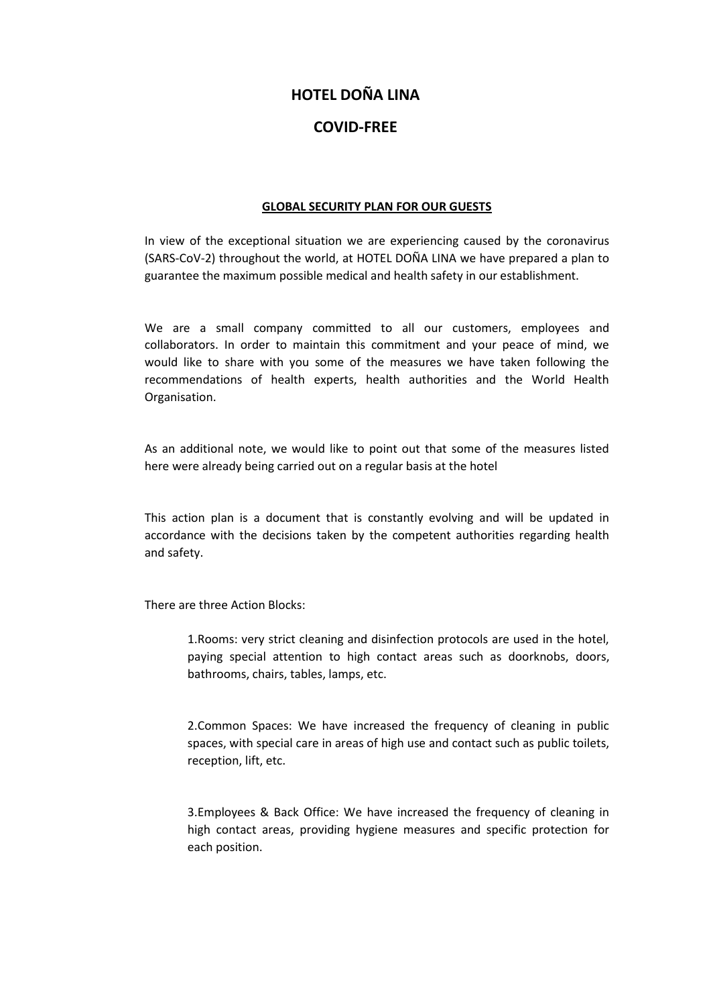# **HOTEL DOÑA LINA**

# **COVID-FREE**

### **GLOBAL SECURITY PLAN FOR OUR GUESTS**

In view of the exceptional situation we are experiencing caused by the coronavirus (SARS-CoV-2) throughout the world, at HOTEL DOÑA LINA we have prepared a plan to guarantee the maximum possible medical and health safety in our establishment.

We are a small company committed to all our customers, employees and collaborators. In order to maintain this commitment and your peace of mind, we would like to share with you some of the measures we have taken following the recommendations of health experts, health authorities and the World Health Organisation.

As an additional note, we would like to point out that some of the measures listed here were already being carried out on a regular basis at the hotel

This action plan is a document that is constantly evolving and will be updated in accordance with the decisions taken by the competent authorities regarding health and safety.

There are three Action Blocks:

1.Rooms: very strict cleaning and disinfection protocols are used in the hotel, paying special attention to high contact areas such as doorknobs, doors, bathrooms, chairs, tables, lamps, etc.

2.Common Spaces: We have increased the frequency of cleaning in public spaces, with special care in areas of high use and contact such as public toilets, reception, lift, etc.

3.Employees & Back Office: We have increased the frequency of cleaning in high contact areas, providing hygiene measures and specific protection for each position.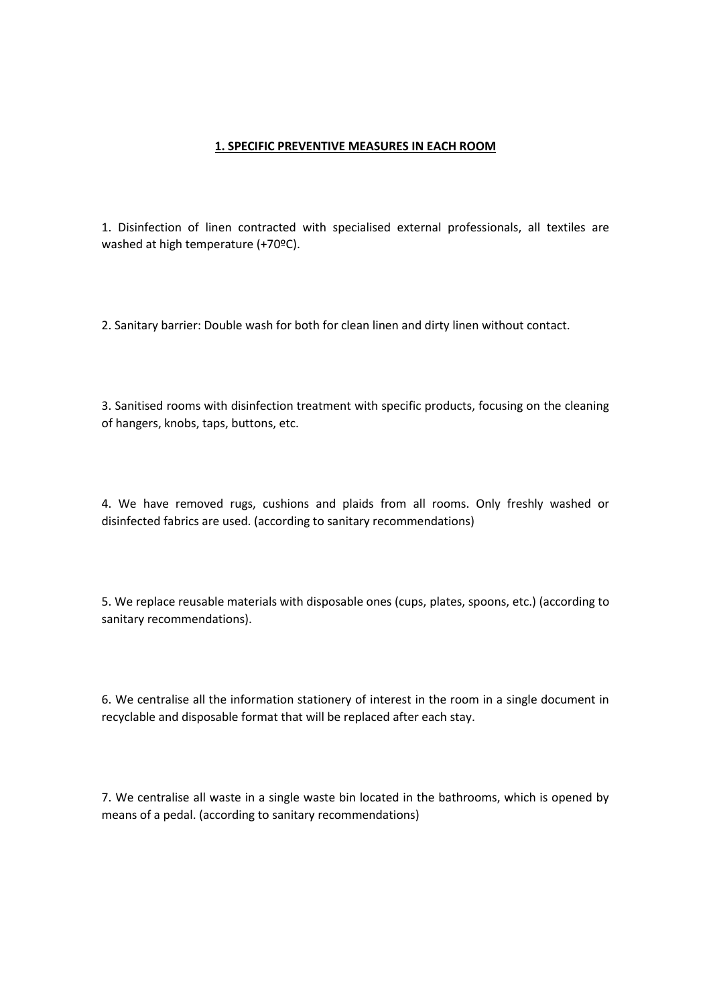#### **1. SPECIFIC PREVENTIVE MEASURES IN EACH ROOM**

1. Disinfection of linen contracted with specialised external professionals, all textiles are washed at high temperature (+70ºC).

2. Sanitary barrier: Double wash for both for clean linen and dirty linen without contact.

3. Sanitised rooms with disinfection treatment with specific products, focusing on the cleaning of hangers, knobs, taps, buttons, etc.

4. We have removed rugs, cushions and plaids from all rooms. Only freshly washed or disinfected fabrics are used. (according to sanitary recommendations)

5. We replace reusable materials with disposable ones (cups, plates, spoons, etc.) (according to sanitary recommendations).

6. We centralise all the information stationery of interest in the room in a single document in recyclable and disposable format that will be replaced after each stay.

7. We centralise all waste in a single waste bin located in the bathrooms, which is opened by means of a pedal. (according to sanitary recommendations)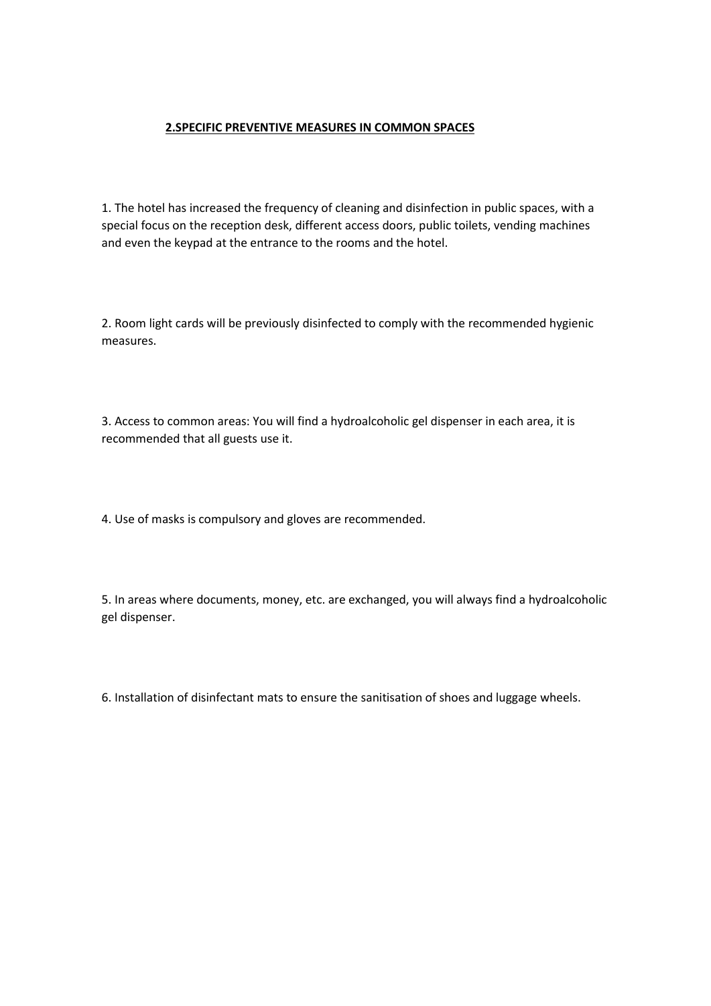### **2.SPECIFIC PREVENTIVE MEASURES IN COMMON SPACES**

1. The hotel has increased the frequency of cleaning and disinfection in public spaces, with a special focus on the reception desk, different access doors, public toilets, vending machines and even the keypad at the entrance to the rooms and the hotel.

2. Room light cards will be previously disinfected to comply with the recommended hygienic measures.

3. Access to common areas: You will find a hydroalcoholic gel dispenser in each area, it is recommended that all guests use it.

4. Use of masks is compulsory and gloves are recommended.

5. In areas where documents, money, etc. are exchanged, you will always find a hydroalcoholic gel dispenser.

6. Installation of disinfectant mats to ensure the sanitisation of shoes and luggage wheels.